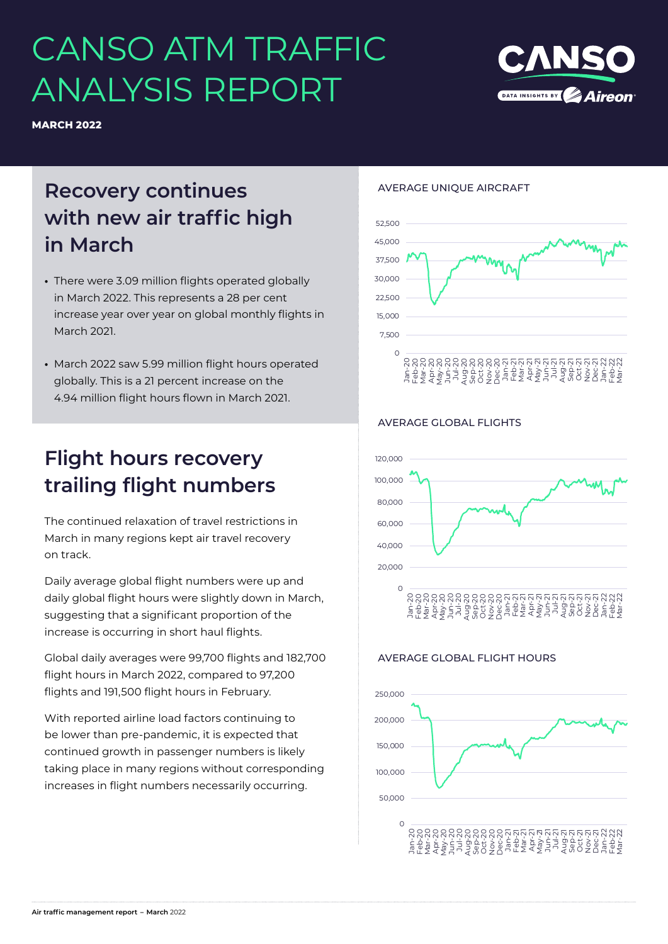# CANSO ATM TRAFFIC ANALYSIS REPORT



# **Recovery continues with new air traffic high in March**

- **•** There were 3.09 million flights operated globally in March 2022. This represents a 28 per cent increase year over year on global monthly flights in March 2021.
- **•** March 2022 saw 5.99 million flight hours operated globally. This is a 21 percent increase on the 4.94 million flight hours flown in March 2021.

# **Flight hours recovery trailing flight numbers**

The continued relaxation of travel restrictions in March in many regions kept air travel recovery on track.

Daily average global flight numbers were up and daily global flight hours were slightly down in March, suggesting that a significant proportion of the increase is occurring in short haul flights.

Global daily averages were 99,700 flights and 182,700 flight hours in March 2022, compared to 97,200 flights and 191,500 flight hours in February.

With reported airline load factors continuing to be lower than pre-pandemic, it is expected that continued growth in passenger numbers is likely taking place in many regions without corresponding increases in flight numbers necessarily occurring.

### AVERAGE UNIQUE AIRCRAFT



### AVERAGE GLOBAL FLIGHTS



### AVERAGE GLOBAL FLIGHT HOURS



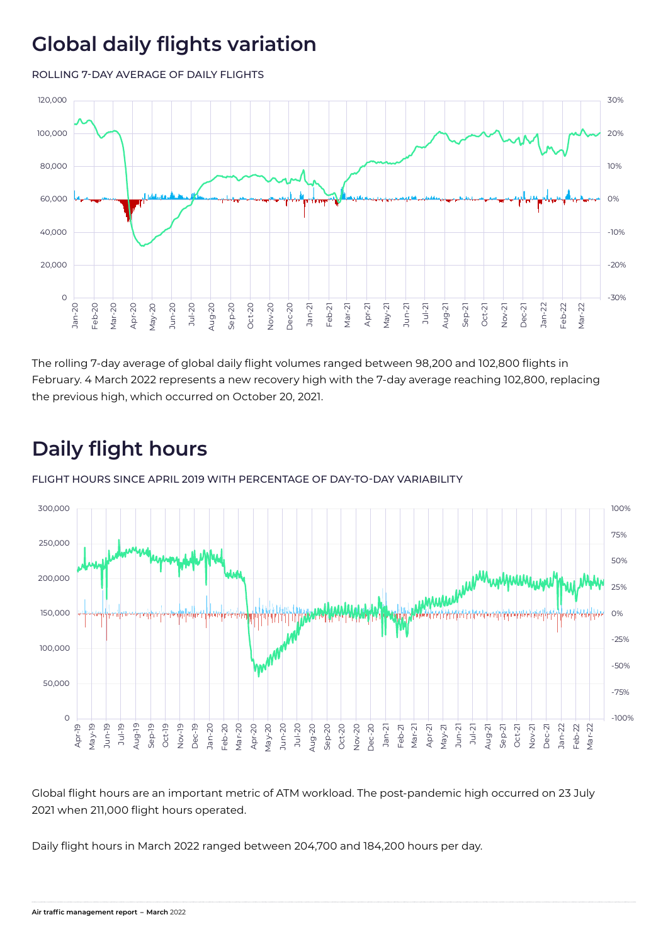### **Global daily flights variation**

ROLLING 7-DAY AVERAGE OF DAILY FLIGHTS



The rolling 7-day average of global daily flight volumes ranged between 98,200 and 102,800 flights in February. 4 March 2022 represents a new recovery high with the 7-day average reaching 102,800, replacing the previous high, which occurred on October 20, 2021.

# **Daily flight hours**

FLIGHT HOURS SINCE APRIL 2019 WITH PERCENTAGE OF DAY-TO-DAY VARIABILITY



Global flight hours are an important metric of ATM workload. The post-pandemic high occurred on 23 July 2021 when 211,000 flight hours operated.

Daily flight hours in March 2022 ranged between 204,700 and 184,200 hours per day.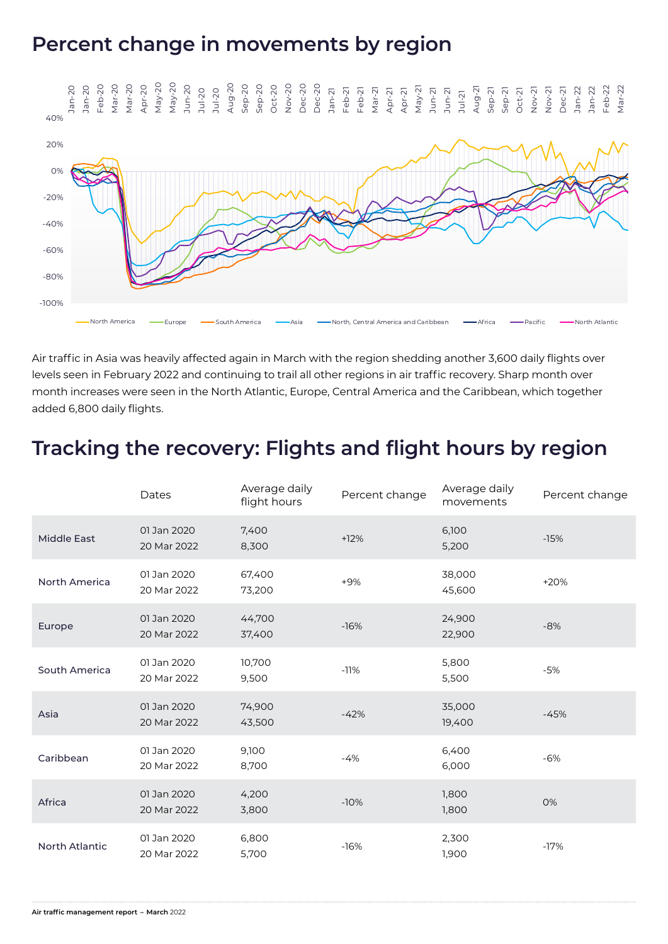### **Percent change in movements by region**



Air traffic in Asia was heavily affected again in March with the region shedding another 3,600 daily flights over levels seen in February 2022 and continuing to trail all other regions in air traffic recovery. Sharp month over month increases were seen in the North Atlantic, Europe, Central America and the Caribbean, which together added 6,800 daily flights.

### **Tracking the recovery: Flights and flight hours by region**

|                       | Dates                      | Average daily<br>flight hours | Percent change | Average daily<br>movements | Percent change |
|-----------------------|----------------------------|-------------------------------|----------------|----------------------------|----------------|
| <b>Middle East</b>    | 01 Jan 2020<br>20 Mar 2022 | 7,400<br>8,300                | $+12%$         | 6,100<br>5,200             | $-15%$         |
| <b>North America</b>  | 01 Jan 2020<br>20 Mar 2022 | 67,400<br>73,200              | $+9%$          | 38,000<br>45,600           | $+20%$         |
| Europe                | 01 Jan 2020<br>20 Mar 2022 | 44,700<br>37,400              | $-16%$         | 24,900<br>22,900           | $-8%$          |
| South America         | 01 Jan 2020<br>20 Mar 2022 | 10,700<br>9,500               | $-11%$         | 5,800<br>5,500             | $-5%$          |
| Asia                  | 01 Jan 2020<br>20 Mar 2022 | 74,900<br>43,500              | $-42%$         | 35,000<br>19,400           | $-45%$         |
| Caribbean             | 01 Jan 2020<br>20 Mar 2022 | 9,100<br>8,700                | $-4%$          | 6,400<br>6,000             | $-6%$          |
| Africa                | 01 Jan 2020<br>20 Mar 2022 | 4,200<br>3,800                | $-10%$         | 1,800<br>1,800             | 0%             |
| <b>North Atlantic</b> | 01 Jan 2020<br>20 Mar 2022 | 6,800<br>5,700                | $-16%$         | 2,300<br>1,900             | $-17%$         |